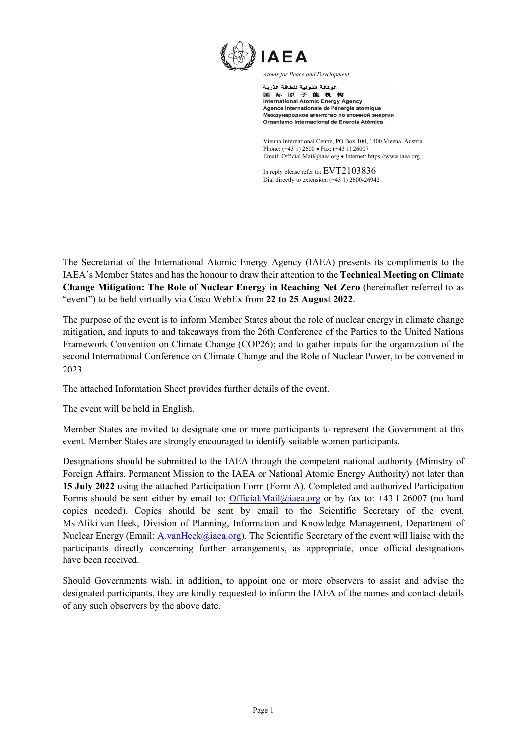

الوكالة الدولية للطاقة الذرية 国际原子能机构 International Atomic Energy Agency Agence internationale de l'énergie atomique Международное агентство по атомной энергии Organismo Internacional de Energía Atómica

Vienna International Centre, PO Box 100, 1400 Vienna, Austria Phone: (+43 1) 2600 • Fax: (+43 1) 26007 Email: Official.Mail@iaea.org • Internet[: https://www.iaea.org](https://www.iaea.org/)

In reply please refer to: EVT2103836 Dial directly to extension: (+43 1) 2600-26942

The Secretariat of the International Atomic Energy Agency (IAEA) presents its compliments to the IAEA's Member States and has the honour to draw their attention to the **Technical Meeting on Climate Change Mitigation: The Role of Nuclear Energy in Reaching Net Zero** (hereinafter referred to as "event") to be held virtually via Cisco WebEx from **22 to 25 August 2022**.

The purpose of the event is to inform Member States about the role of nuclear energy in climate change mitigation, and inputs to and takeaways from the 26th Conference of the Parties to the United Nations Framework Convention on Climate Change (COP26); and to gather inputs for the organization of the second International Conference on Climate Change and the Role of Nuclear Power, to be convened in 2023.

The attached Information Sheet provides further details of the event.

The event will be held in English.

Member States are invited to designate one or more participants to represent the Government at this event. Member States are strongly encouraged to identify suitable women participants.

Designations should be submitted to the IAEA through the competent national authority (Ministry of Foreign Affairs, Permanent Mission to the IAEA or National Atomic Energy Authority) not later than **15 July 2022** using the attached Participation Form (Form A). Completed and authorized Participation Forms should be sent either by email to[: Official.Mail@iaea.org](mailto:Official.Mail@iaea.org) or by fax to:  $+43$  1 26007 (no hard copies needed). Copies should be sent by email to the Scientific Secretary of the event, Ms Aliki van Heek, Division of Planning, Information and Knowledge Management, Department of Nuclear Energy (Email: [A.vanHeek@iaea.org\)](mailto:A.vanHeek@iaea.org). The Scientific Secretary of the event will liaise with the participants directly concerning further arrangements, as appropriate, once official designations have been received.

Should Governments wish, in addition, to appoint one or more observers to assist and advise the designated participants, they are kindly requested to inform the IAEA of the names and contact details of any such observers by the above date.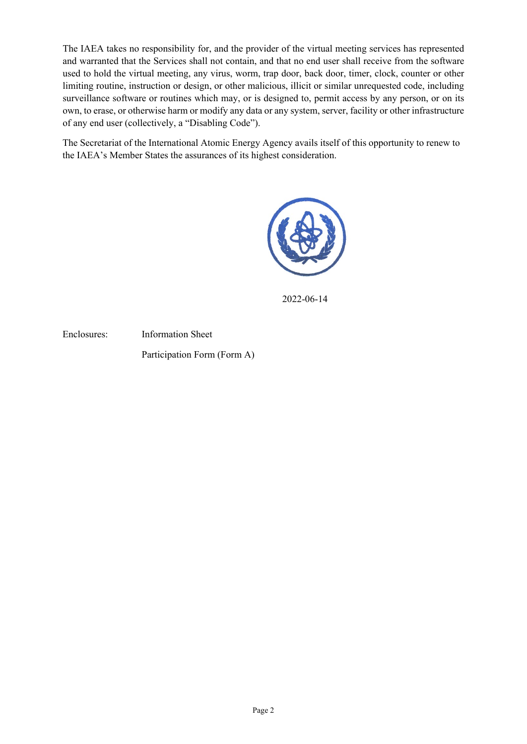The IAEA takes no responsibility for, and the provider of the virtual meeting services has represented and warranted that the Services shall not contain, and that no end user shall receive from the software used to hold the virtual meeting, any virus, worm, trap door, back door, timer, clock, counter or other limiting routine, instruction or design, or other malicious, illicit or similar unrequested code, including surveillance software or routines which may, or is designed to, permit access by any person, or on its own, to erase, or otherwise harm or modify any data or any system, server, facility or other infrastructure of any end user (collectively, a "Disabling Code").

The Secretariat of the International Atomic Energy Agency avails itself of this opportunity to renew to the IAEA's Member States the assurances of its highest consideration.



2022-06-14

Enclosures: Information Sheet Participation Form (Form A)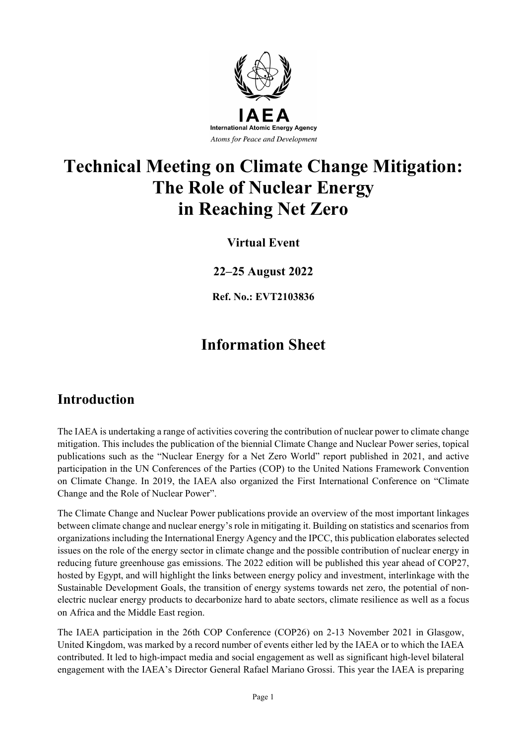

# **Technical Meeting on Climate Change Mitigation: The Role of Nuclear Energy in Reaching Net Zero**

### **Virtual Event**

**22–25 August 2022**

**Ref. No.: EVT2103836**

## **Information Sheet**

## **Introduction**

The IAEA is undertaking a range of activities covering the contribution of nuclear power to climate change mitigation. This includes the publication of the biennial Climate Change and Nuclear Power series, topical publications such as the "Nuclear Energy for a Net Zero World" report published in 2021, and active participation in the UN Conferences of the Parties (COP) to the United Nations Framework Convention on Climate Change. In 2019, the IAEA also organized the First International Conference on "Climate Change and the Role of Nuclear Power".

The Climate Change and Nuclear Power publications provide an overview of the most important linkages between climate change and nuclear energy's role in mitigating it. Building on statistics and scenarios from organizations including the International Energy Agency and the IPCC, this publication elaborates selected issues on the role of the energy sector in climate change and the possible contribution of nuclear energy in reducing future greenhouse gas emissions. The 2022 edition will be published this year ahead of COP27, hosted by Egypt, and will highlight the links between energy policy and investment, interlinkage with the Sustainable Development Goals, the transition of energy systems towards net zero, the potential of nonelectric nuclear energy products to decarbonize hard to abate sectors, climate resilience as well as a focus on Africa and the Middle East region.

The IAEA participation in the 26th COP Conference (COP26) on 2-13 November 2021 in Glasgow, United Kingdom, was marked by a record number of events either led by the IAEA or to which the IAEA contributed. It led to high-impact media and social engagement as well as significant high-level bilateral engagement with the IAEA's Director General Rafael Mariano Grossi. This year the IAEA is preparing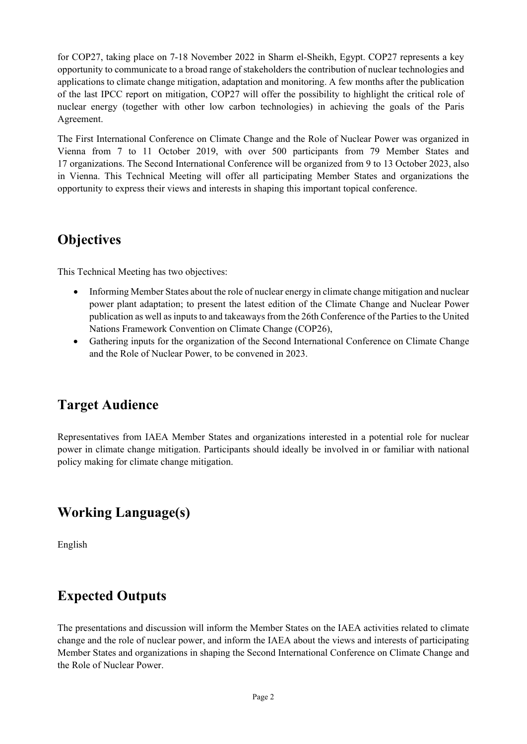for COP27, taking place on 7-18 November 2022 in Sharm el-Sheikh, Egypt. COP27 represents a key opportunity to communicate to a broad range of stakeholders the contribution of nuclear technologies and applications to climate change mitigation, adaptation and monitoring. A few months after the publication of the last IPCC report on mitigation, COP27 will offer the possibility to highlight the critical role of nuclear energy (together with other low carbon technologies) in achieving the goals of the Paris Agreement.

The First International Conference on Climate Change and the Role of Nuclear Power was organized in Vienna from 7 to 11 October 2019, with over 500 participants from 79 Member States and 17 organizations. The Second International Conference will be organized from 9 to 13 October 2023, also in Vienna. This Technical Meeting will offer all participating Member States and organizations the opportunity to express their views and interests in shaping this important topical conference.

## **Objectives**

This Technical Meeting has two objectives:

- Informing Member States about the role of nuclear energy in climate change mitigation and nuclear power plant adaptation; to present the latest edition of the Climate Change and Nuclear Power publication as well asinputs to and takeaways from the 26th Conference of the Parties to the United Nations Framework Convention on Climate Change (COP26),
- Gathering inputs for the organization of the Second International Conference on Climate Change and the Role of Nuclear Power, to be convened in 2023.

## **Target Audience**

Representatives from IAEA Member States and organizations interested in a potential role for nuclear power in climate change mitigation. Participants should ideally be involved in or familiar with national policy making for climate change mitigation.

## **Working Language(s)**

English

## **Expected Outputs**

The presentations and discussion will inform the Member States on the IAEA activities related to climate change and the role of nuclear power, and inform the IAEA about the views and interests of participating Member States and organizations in shaping the Second International Conference on Climate Change and the Role of Nuclear Power.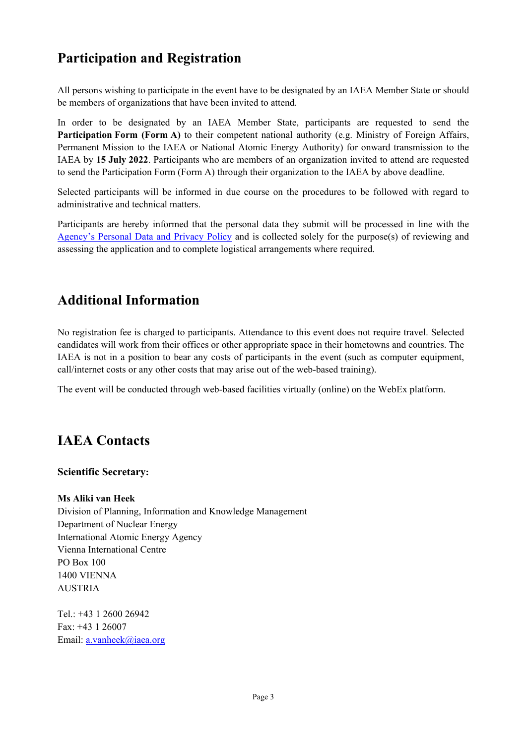## **Participation and Registration**

All persons wishing to participate in the event have to be designated by an IAEA Member State or should be members of organizations that have been invited to attend.

In order to be designated by an IAEA Member State, participants are requested to send the **Participation Form (Form A)** to their competent national authority (e.g. Ministry of Foreign Affairs, Permanent Mission to the IAEA or National Atomic Energy Authority) for onward transmission to the IAEA by **15 July 2022**. Participants who are members of an organization invited to attend are requested to send the Participation Form (Form A) through their organization to the IAEA by above deadline.

Selected participants will be informed in due course on the procedures to be followed with regard to administrative and technical matters.

Participants are hereby informed that the personal data they submit will be processed in line with the [Agency's Personal Data and Privacy Policy](https://www.iaea.org/about/privacy-policy#:%7E:text=The%20IAEA%20is%20committed%20to,accountable%20and%20non%2Ddiscriminatory%20manner.&text=The%20Privacy%20Policy%20provides%20the,carrying%20out%20its%20mandated%20activities.) and is collected solely for the purpose(s) of reviewing and assessing the application and to complete logistical arrangements where required.

## **Additional Information**

No registration fee is charged to participants. Attendance to this event does not require travel. Selected candidates will work from their offices or other appropriate space in their hometowns and countries. The IAEA is not in a position to bear any costs of participants in the event (such as computer equipment, call/internet costs or any other costs that may arise out of the web-based training).

The event will be conducted through web-based facilities virtually (online) on the WebEx platform.

## **IAEA Contacts**

#### **Scientific Secretary:**

#### **Ms Aliki van Heek**

Division of Planning, Information and Knowledge Management Department of Nuclear Energy International Atomic Energy Agency Vienna International Centre PO Box 100 1400 VIENNA AUSTRIA

Tel.: +43 1 2600 26942 Fax: +43 1 26007 Email: [a.vanheek@iaea.org](mailto:a.vanheek@iaea.org)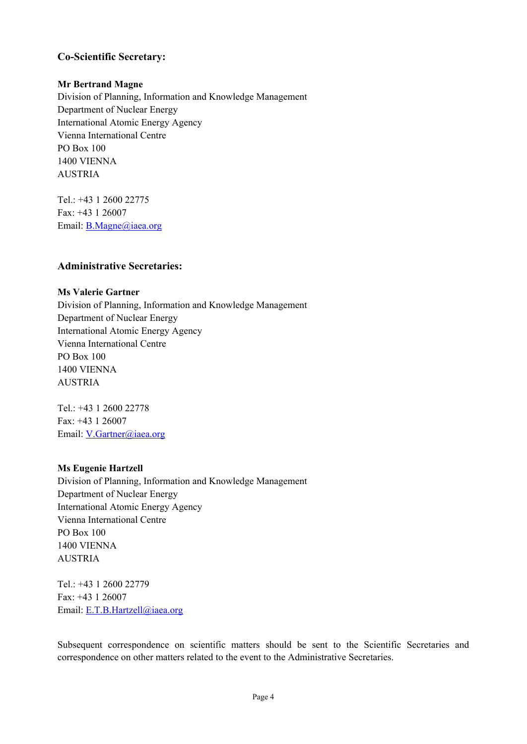#### **Co-Scientific Secretary:**

#### **Mr Bertrand Magne**

Division of Planning, Information and Knowledge Management Department of Nuclear Energy International Atomic Energy Agency Vienna International Centre PO Box 100 1400 VIENNA AUSTRIA

Tel.: +43 1 2600 22775 Fax: +43 1 26007 Email: [B.Magne@iaea.org](mailto:B.Magne@iaea.org)

#### **Administrative Secretaries:**

#### **Ms Valerie Gartner**

Division of Planning, Information and Knowledge Management Department of Nuclear Energy International Atomic Energy Agency Vienna International Centre PO Box 100 1400 VIENNA AUSTRIA

Tel.: +43 1 2600 22778 Fax: +43 1 26007 Email: [V.Gartner@iaea.org](mailto:V.Gartner@iaea.org)

#### **Ms Eugenie Hartzell**

Division of Planning, Information and Knowledge Management Department of Nuclear Energy International Atomic Energy Agency Vienna International Centre PO Box 100 1400 VIENNA AUSTRIA

Tel.: +43 1 2600 22779 Fax: +43 1 26007 Email: [E.T.B.Hartzell@iaea.org](mailto:E.T.B.Hartzell@iaea.org)

Subsequent correspondence on scientific matters should be sent to the Scientific Secretaries and correspondence on other matters related to the event to the Administrative Secretaries.